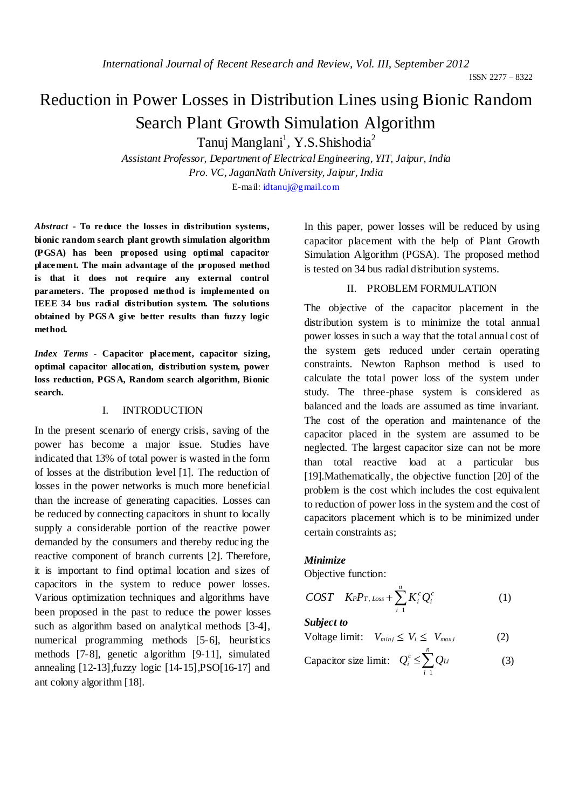ISSN 2277 – 8322

# Reduction in Power Losses in Distribution Lines using Bionic Random Search Plant Growth Simulation Algorithm

Tanuj Manglani<sup>1</sup>, Y.S.Shishodia<sup>2</sup>

*Assistant Professor, Department of Electrical Engineering, YIT, Jaipur, India Pro. VC, JaganNath University, Jaipur, India* E-mail: idtanuj@gmail.com

*Abstract* **- To reduce the losses in distribution systems, bionic random search plant growth simulation algorithm (PGSA) has been proposed using optimal capacitor placement. The main advantage of the proposed method is that it does not require any external control parameters. The proposed method is implemented on IEEE 34 bus radial distribution system. The solutions obtained by PGS A give better results than fuzzy logic method.**

*Index Terms -* **Capacitor placement, capacitor sizing, optimal capacitor allocation, distribution system, power loss reduction, PGS A, Random search algorithm, Bionic search.**

## I. INTRODUCTION

In the present scenario of energy crisis, saving of the power has become a major issue. Studies have indicated that 13% of total power is wasted in the form of losses at the distribution level [1]. The reduction of losses in the power networks is much more beneficial than the increase of generating capacities. Losses can be reduced by connecting capacitors in shunt to locally supply a considerable portion of the reactive power demanded by the consumers and thereby reducing the reactive component of branch currents [2]. Therefore, it is important to find optimal location and sizes of capacitors in the system to reduce power losses. Various optimization techniques and algorithms have been proposed in the past to reduce the power losses such as algorithm based on analytical methods [3-4], numerical programming methods [5-6], heuristics methods [7-8], genetic algorithm [9-11], simulated annealing  $[12-13]$ , fuzzy logic  $[14-15]$ ,  $PSO[16-17]$  and ant colony algorithm [18].

In this paper, power losses will be reduced by using capacitor placement with the help of Plant Growth Simulation Algorithm (PGSA). The proposed method is tested on 34 bus radial distribution systems.

## II. PROBLEM FORMULATION

The objective of the capacitor placement in the distribution system is to minimize the total annual power losses in such a way that the total annual cost of the system gets reduced under certain operating constraints. Newton Raphson method is used to calculate the total power loss of the system under study. The three-phase system is considered as balanced and the loads are assumed as time invariant. The cost of the operation and maintenance of the capacitor placed in the system are assumed to be neglected. The largest capacitor size can not be more than total reactive load at a particular bus [19].Mathematically, the objective function [20] of the problem is the cost which includes the cost equivalent to reduction of power loss in the system and the cost of capacitors placement which is to be minimized under certain constraints as;

## *Minimize*

Objective function:

$$
COST \quad K_P P_{T, Loss} + \sum_{i=1}^{n} K_i^c Q_i^c \tag{1}
$$

*Subject to* 

$$
Voltage limit: V_{min,i} \le V_i \le V_{max,i}
$$
 (2)

Capacitor size limit: 
$$
Q_i^c \le \sum_{i=1}^n Q_{Li}
$$
 (3)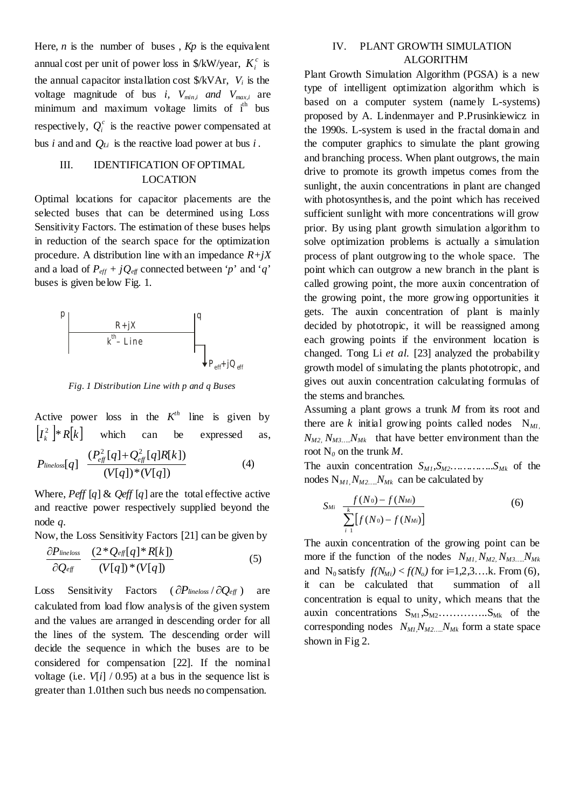Here*, n* is the number of buses , *Kp* is the equivalent annual cost per unit of power loss in  $\frac{K}{W}$ /year,  $K_i^c$  is the annual capacitor installation cost \$/kVAr, *Vi* is the voltage magnitude of bus *i, Vmin,i and Vmax,i* are minimum and maximum voltage limits of i<sup>th</sup> bus respectively,  $Q_i^c$  is the reactive power compensated at bus *i* and and  $Q_{Li}$  is the reactive load power at bus *i*.

# III. IDENTIFICATION OF OPTIMAL LOCATION

Optimal locations for capacitor placements are the selected buses that can be determined using Loss Sensitivity Factors. The estimation of these buses helps in reduction of the search space for the optimization procedure. A distribution line with an impedance  $R+jX$ and a load of  $P_{\text{eff}} + iQ_{\text{eff}}$  connected between '*p*' and '*q*' buses is given below Fig. 1.



*Fig. 1 Distribution Line with p and q Buses*

Active power loss in the  $K<sup>th</sup>$  line is given by  $[I_k^2]$  \*  $R[k]$ which can be expressed as,

$$
P_{\text{lineloss}}[q] \quad \frac{(P_{\text{eff}}^2[q] + Q_{\text{eff}}^2[q]R[k])}{(V[q])^*(V[q])} \tag{4}
$$

Where, *Peff* [*q*] & *Qeff* [*q*] are the total effective active and reactive power respectively supplied beyond the node *q.*

Now, the Loss Sensitivity Factors [21] can be given by

$$
\frac{\partial P_{\text{lineloss}}}{\partial Q_{\text{eff}}} \quad \frac{(2^*Q_{\text{eff}}[q]^*R[k])}{(V[q])^*(V[q])} \tag{5}
$$

Loss Sensitivity Factors ( ∂*Plineloss* / ∂*Qeff* ) are calculated from load flow analysis of the given system and the values are arranged in descending order for all the lines of the system. The descending order will decide the sequence in which the buses are to be considered for compensation [22]. If the nominal voltage (i.e.  $V[i] / (0.95)$  at a bus in the sequence list is greater than 1.01then such bus needs no compensation.

# IV. PLANT GROWTH SIMULATION ALGORITHM

Plant Growth Simulation Algorithm (PGSA) is a new type of intelligent optimization algorithm which is based on a computer system (namely L-systems) proposed by A. Lindenmayer and P.Prusinkiewicz in the 1990s. L-system is used in the fractal domain and the computer graphics to simulate the plant growing and branching process. When plant outgrows, the main drive to promote its growth impetus comes from the sunlight, the auxin concentrations in plant are changed with photosynthes is, and the point which has received sufficient sunlight with more concentrations will grow prior. By using plant growth simulation algorithm to solve optimization problems is actually a simulation process of plant outgrowing to the whole space. The point which can outgrow a new branch in the plant is called growing point, the more auxin concentration of the growing point, the more growing opportunities it gets. The auxin concentration of plant is mainly decided by phototropic, it will be reassigned among each growing points if the environment location is changed. Tong Li *et al.* [23] analyzed the probability growth model of simulating the plants phototropic, and gives out auxin concentration calculating formulas of the stems and branches.

Assuming a plant grows a trunk *M* from its root and there are  $k$  initial growing points called nodes  $N_{ML}$ ,  $N_{M2}$ ,  $N_{M3}$ <sub>*m*</sub>,  $N_{Mk}$  that have better environment than the root  $N_0$  on the trunk  $M$ .

The auxin concentration  $S_{M1}, S_{M2}$ .................*S<sub>Mk</sub>* of the nodes  $N_{M1}$ ,  $N_{M2}$ ....,  $N_{Mk}$  can be calculated by

$$
S_{Mi} \frac{f(N_0) - f(N_{Mi})}{\sum_{i=1}^{k} [f(N_0) - f(N_{Mi})]}
$$
(6)

The auxin concentration of the growing point can be more if the function of the nodes  $N_{M1}$ ,  $N_{M2}$ ,  $N_{M3}$ ,  $N_{Mk}$ and N<sub>0</sub> satisfy  $f(N_{Mi}) < f(N_o)$  for i=1,2,3...k. From (6), it can be calculated that summation of all concentration is equal to unity, which means that the auxin concentrations SM1 ,SM2…………..SMk of the corresponding nodes  $N_{ML}N_{M2}N_{Mk}$  form a state space shown in Fig 2.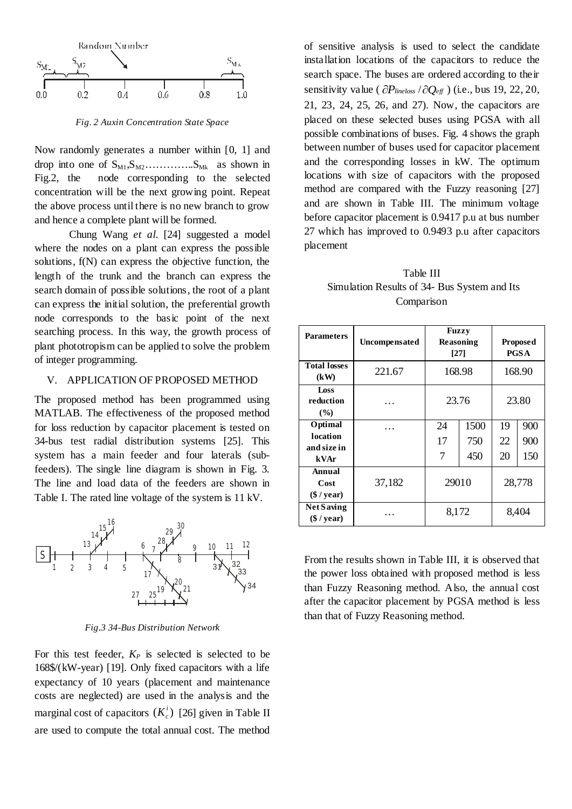

*Fig. 2 Auxin Concentration State Space*

Now randomly generates a number within [0, 1] and drop into one of  $S_{M1}, S_{M2}$ …………... $S_{Mk}$  as shown in Fig.2, the node corresponding to the selected concentration will be the next growing point. Repeat the above process until there is no new branch to grow and hence a complete plant will be formed.

Chung Wang *et al.* [24] suggested a model where the nodes on a plant can express the possible solutions, f(N) can express the objective function, the length of the trunk and the branch can express the search domain of possible solutions, the root of a plant can express the initial solution, the preferential growth node corresponds to the basic point of the next searching process. In this way, the growth process of plant phototropism can be applied to solve the problem of integer programming.

## V. APPLICATION OF PROPOSED METHOD

The proposed method has been programmed using MATLAB. The effectiveness of the proposed method for loss reduction by capacitor placement is tested on 34-bus test radial distribution systems [25]. This system has a main feeder and four laterals (subfeeders). The single line diagram is shown in Fig. 3. The line and load data of the feeders are shown in Table I. The rated line voltage of the system is 11 kV.



*Fig.3 34-Bus Distribution Network*

For this test feeder,  $K_P$  is selected is selected to be 168\$/(kW-year) [19]. Only fixed capacitors with a life expectancy of 10 years (placement and maintenance costs are neglected) are used in the analysis and the marginal cost of capacitors  $(K_c^i)$  [26] given in Table II are used to compute the total annual cost. The method

of sensitive analysis is used to select the candidate installation locations of the capacitors to reduce the search space. The buses are ordered according to their sensitivity value ( ∂*Plineloss* /∂*Qeff* ) (i.e., bus 19, 22, 20, 21, 23, 24, 25, 26, and 27). Now, the capacitors are placed on these selected buses using PGSA with all possible combinations of buses. Fig. 4 shows the graph between number of buses used for capacitor placement and the corresponding losses in kW. The optimum locations with size of capacitors with the proposed method are compared with the Fuzzy reasoning [27] and are shown in Table III. The minimum voltage before capacitor placement is 0.9417 p.u at bus number 27 which has improved to 0.9493 p.u after capacitors placement

Table III Simulation Results of 34- Bus System and Its Comparison

| <b>Parameters</b>                          | Uncompensated |               | <b>Fuzzy</b><br><b>Reasoning</b><br>[27] | <b>Proposed</b><br><b>PGSA</b> |                   |
|--------------------------------------------|---------------|---------------|------------------------------------------|--------------------------------|-------------------|
| <b>Total losses</b><br>(kW)                | 221.67        | 168.98        |                                          | 168.90                         |                   |
| Loss<br>reduction<br>$\frac{9}{6}$         | .             | 23.76         |                                          | 23.80                          |                   |
| Optimal<br>location<br>and size in<br>kVAr |               | 24<br>17<br>7 | 1500<br>750<br>450                       | 19<br>22<br>20                 | 900<br>900<br>150 |
| Annual<br>Cost<br>$(\$ / year)$            | 37,182        | 29010         |                                          | 28,778                         |                   |
| <b>Net Saving</b><br>$(\$ / year)$         |               | 8,172         |                                          | 8,404                          |                   |

From the results shown in Table III, it is observed that the power loss obtained with proposed method is less than Fuzzy Reasoning method. Also, the annual cost after the capacitor placement by PGSA method is less than that of Fuzzy Reasoning method.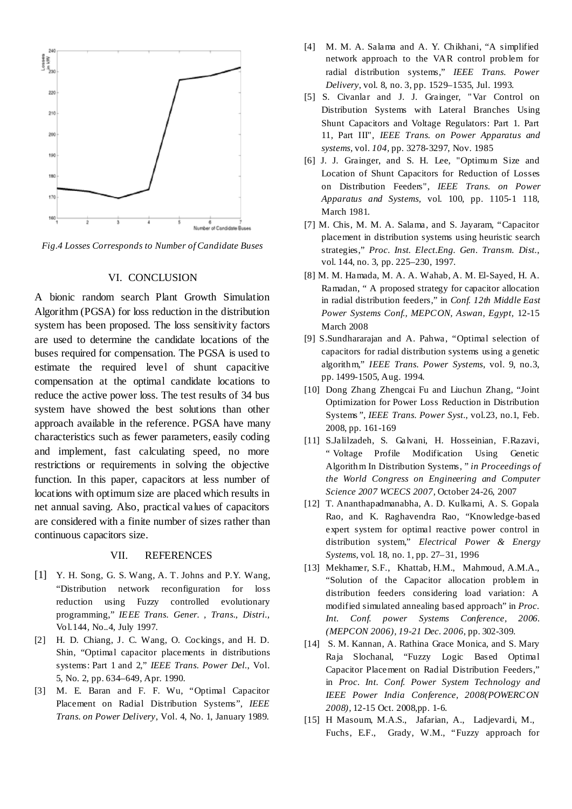

*Fig.4 Losses Corresponds to Number of Candidate Buses*

#### VI. CONCLUSION

A bionic random search Plant Growth Simulation Algorithm (PGSA) for loss reduction in the distribution system has been proposed. The loss sensitivity factors are used to determine the candidate locations of the buses required for compensation. The PGSA is used to estimate the required level of shunt capacitive compensation at the optimal candidate locations to reduce the active power loss. The test results of 34 bus system have showed the best solutions than other approach available in the reference. PGSA have many characteristics such as fewer parameters, easily coding and implement, fast calculating speed, no more restrictions or requirements in solving the objective function. In this paper, capacitors at less number of locations with optimum size are placed which results in net annual saving. Also, practical values of capacitors are considered with a finite number of sizes rather than continuous capacitors size.

### VII. REFERENCES

- [1] Y. H. Song, G. S. Wang, A. T. Johns and P.Y. Wang, "Distribution network reconfiguration for loss reduction using Fuzzy controlled evolutionary programming," *IEEE Trans. Gener. , Trans., Distri.,*  Vol.144, No..4, July 1997.
- [2] H. D. Chiang, J. C. Wang, O. Cockings, and H. D. Shin, "Optimal capacitor placements in distributions systems: Part 1 and 2," *IEEE Trans. Power Del.*, Vol. 5, No. 2, pp. 634–649, Apr. 1990.
- [3] M. E. Baran and F. F. Wu, "Optimal Capacitor Placement on Radial Distribution Systems", *IEEE Trans. on Power Delivery*, Vol. 4, No. 1, January 1989.
- [4] M. M. A. Salama and A. Y. Chikhani, "A simplified network approach to the VAR control problem for radial distribution systems," *IEEE Trans. Power Delivery*, vol. 8, no. 3, pp. 1529–1535, Jul. 1993.
- [5] S. Civanlar and J. J. Grainger, " Var Control on Distribution Systems with Lateral Branches Using Shunt Capacitors and Voltage Regulators: Part 1. Part 11, Part III", *IEEE Trans. on Power Apparatus and systems,* vol. *104,* pp. 3278-3297, Nov. 1985
- [6] J. J. Grainger, and S. H. Lee, "Optimum Size and Location of Shunt Capacitors for Reduction of Losses on Distribution Feeders", *IEEE Trans. on Power Apparatus and Systems,* vol. 100, pp. 1105-1 118, March 1981.
- [7] M. Chis, M. M. A. Salama, and S. Jayaram, "Capacitor placement in distribution systems using heuristic search strategies," *Proc. Inst. Elect.Eng. Gen. Transm. Dist.*, vol. 144, no. 3, pp. 225–230, 1997.
- [8] M. M. Hamada, M. A. A. Wahab, A. M. El-Sayed, H. A. Ramadan, " A proposed strategy for capacitor allocation in radial distribution feeders," in *Conf. 12th Middle East Power Systems Conf., MEPCON, Aswan, Egypt,* 12-15 March 2008
- [9] S.Sundhararajan and A. Pahwa, "Optimal selection of capacitors for radial distribution systems using a genetic algorithm," *IEEE Trans. Power Systems*, vol. 9, no.3, pp. 1499-1505, Aug. 1994.
- [10] Dong Zhang Zhengcai Fu and Liuchun Zhang, "Joint Optimization for Power Loss Reduction in Distribution Systems*"*, *IEEE Trans. Power Syst.,* vol.23, no.1, Feb. 2008, pp. 161-169
- [11] S.Jalilzadeh, S. Galvani, H. Hosseinian, F.Razavi, " Voltage Profile Modification Using Genetic Algorithm In Distribution Systems, " *in Proceedings of the World Congress on Engineering and Computer Science 2007 WCECS 2007*, October 24-26, 2007
- [12] T. Ananthapadmanabha, A. D. Kulkarni, A. S. Gopala Rao, and K. Raghavendra Rao, "Knowledge-based expert system for optimal reactive power control in distribution system," *Electrical Power & Energy Systems*, vol. 18, no. 1, pp. 27–31, 1996
- [13] Mekhamer, S.F., Khattab, H.M., Mahmoud, A.M.A., "Solution of the Capacitor allocation problem in distribution feeders considering load variation: A modified simulated annealing based approach" in *Proc. Int. Conf. power Systems Conference, 2006. (MEPCON 2006), 19-21 Dec. 2006*, pp. 302-309.
- [14] S. M. Kannan, A. Rathina Grace Monica, and S. Mary Raja Slochanal, "Fuzzy Logic Based Optimal Capacitor Placement on Radial Distribution Feeders," in *Proc. Int. Conf. [Power System Technology and](http://ieeexplore.ieee.org/xpl/mostRecentIssue.jsp?punumber=4723909)  [IEEE Power India Conference, 2008\(POWERCON](http://ieeexplore.ieee.org/xpl/mostRecentIssue.jsp?punumber=4723909) [2008\)](http://ieeexplore.ieee.org/xpl/mostRecentIssue.jsp?punumber=4723909),* 12-15 Oct. 2008,pp. 1-6.
- [15] H Masoum, M.A.S., Jafarian, A., Ladjevardi, M., Fuchs, E.F., Grady, W.M., "Fuzzy approach for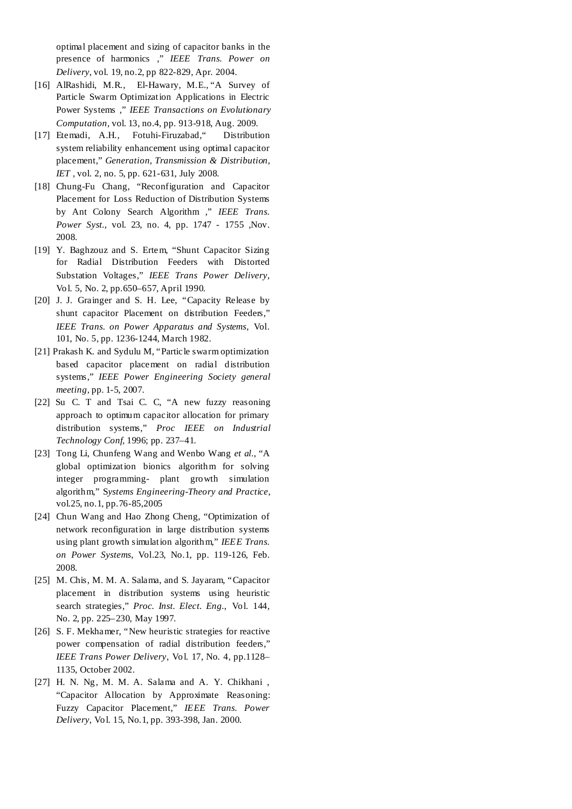optimal placement and sizing of capacitor banks in the presence of harmonics ," *IEEE Trans. Power on Delivery*, vol. 19, no.2, pp 822-829, Apr. 2004.

- [16] AlRashidi, M.R., El-Hawary, M.E., "A Survey of Particle Swarm Optimization Applications in Electric Power Systems ," *IEEE Transactions o[n Evolutionary](http://ieeexplore.ieee.org/xpl/RecentIssue.jsp?punumber=4235)  [Computation,](http://ieeexplore.ieee.org/xpl/RecentIssue.jsp?punumber=4235)* vol. 13, no.4, pp. 913-918, Aug. 2009.
- [17] Etemadi, A.H., Fotuhi-Firuzabad," Distribution system reliability enhancement using optimal capacitor placement," *[Generation, Transmission & Distribution,](http://ieeexplore.ieee.org/xpl/RecentIssue.jsp?punumber=4082359)  [IET ,](http://ieeexplore.ieee.org/xpl/RecentIssue.jsp?punumber=4082359)* vol. 2, no. 5, pp. 621-631, July 2008.
- [18] Chung-Fu Chang, "Reconfiguration and Capacitor Placement for Loss Reduction of Distribution Systems by Ant Colony Search Algorithm ," *IEEE Trans. Power Syst.*, vol. 23, no. 4, pp. 1747 - 1755 ,Nov. 2008.
- [19] Y. Baghzouz and S. Ertem, "Shunt Capacitor Sizing for Radial Distribution Feeders with Distorted Substation Voltages," *IEEE Trans Power Delivery*, Vol. 5, No. 2, pp.650–657, April 1990.
- [20] J. J. Grainger and S. H. Lee, "Capacity Release by shunt capacitor Placement on distribution Feeders," *IEEE Trans. on Power Apparatus and Systems*, Vol. 101, No. 5, pp. 1236-1244, March 1982.
- [21] Prakash K. and Sydulu M, "Particle swarm optimization based capacitor placement on radial distribution systems," *IEEE Power Engineering Society general meeting,* pp. 1-5, 2007.
- [22] Su C. T and Tsai C. C, "A new fuzzy reasoning approach to optimum capacitor allocation for primary distribution systems," *Proc IEEE on Industrial Technology Conf,* 1996; pp. 237–41.
- [23] Tong Li, Chunfeng Wang and Wenbo Wang *et al.*, "A global optimization bionics algorithm for solving integer programming- plant growth simulation algorithm," S*ystems Engineering-Theory and Practice*, vol.25, no.1, pp.76-85,2005
- [24] Chun Wang and Hao Zhong Cheng, "Optimization of network reconfiguration in large distribution systems using plant growth simulation algorithm," *IEEE Trans. on Power Systems*, Vol.23, No.1, pp. 119-126, Feb. 2008.
- [25] M. Chis, M. M. A. Salama, and S. Jayaram, "Capacitor placement in distribution systems using heuristic search strategies," *Proc. Inst. Elect. Eng.*, Vol. 144, No. 2, pp. 225–230, May 1997.
- [26] S. F. Mekhamer, "New heuristic strategies for reactive power compensation of radial distribution feeders," *IEEE Trans Power Delivery*, Vol. 17, No. 4, pp.1128– 1135, October 2002.
- [27] H. N. Ng, M. M. A. Salama and A. Y. Chikhani , "Capacitor Allocation by Approximate Reasoning: Fuzzy Capacitor Placement," *IEEE Trans. Power Delivery*, Vol. 15, No.1, pp. 393-398, Jan. 2000.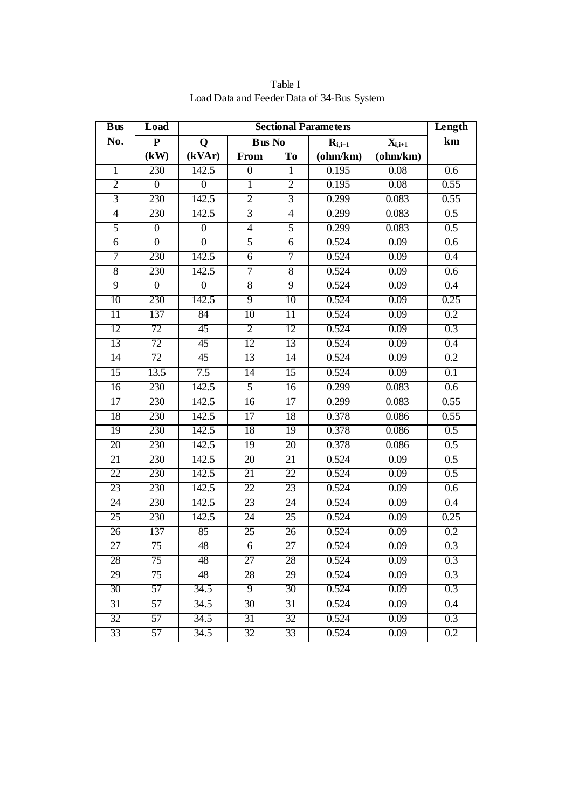| $B$ us          | Load                    | <b>Sectional Parameters</b> |                 |                 |                                                                                  | Length     |                  |
|-----------------|-------------------------|-----------------------------|-----------------|-----------------|----------------------------------------------------------------------------------|------------|------------------|
| No.             | $\overline{\mathbf{P}}$ | Q                           | <b>Bus No</b>   |                 | $\mathbf{R}_{\mathbf{i},\mathbf{i+1}}$<br>$\mathbf{X}_{\mathbf{i},\mathbf{i+1}}$ |            | km               |
|                 | (kW)                    | (kVAr)                      | From            | To              | (ohm/km)                                                                         | $(ohm/km)$ |                  |
| $\mathbf{1}$    | 230                     | 142.5                       | $\overline{0}$  | $\overline{1}$  | 0.195                                                                            | 0.08       | 0.6              |
| $\overline{2}$  | $\boldsymbol{0}$        | $\boldsymbol{0}$            | $\mathbf{1}$    | $\overline{2}$  | 0.195                                                                            | 0.08       | 0.55             |
| $\overline{3}$  | 230                     | 142.5                       | $\overline{2}$  | $\overline{3}$  | 0.299                                                                            | 0.083      | 0.55             |
| $\overline{4}$  | 230                     | 142.5                       | $\overline{3}$  | $\overline{4}$  | 0.299                                                                            | 0.083      | $\overline{0.5}$ |
| 5               | $\overline{0}$          | $\overline{0}$              | $\overline{4}$  | 5               | 0.299                                                                            | 0.083      | 0.5              |
| 6               | $\boldsymbol{0}$        | $\boldsymbol{0}$            | $\overline{5}$  | 6               | 0.524                                                                            | 0.09       | 0.6              |
| 7               | 230                     | 142.5                       | 6               | $\tau$          | 0.524                                                                            | 0.09       | 0.4              |
| $\overline{8}$  | 230                     | 142.5                       | $\tau$          | $\overline{8}$  | 0.524                                                                            | 0.09       | 0.6              |
| $\overline{9}$  | $\overline{0}$          | $\overline{0}$              | $\overline{8}$  | $\overline{9}$  | 0.524                                                                            | 0.09       | 0.4              |
| 10              | 230                     | 142.5                       | $\overline{9}$  | 10              | 0.524                                                                            | 0.09       | 0.25             |
| $\overline{11}$ | 137                     | 84                          | 10              | $\overline{11}$ | 0.524                                                                            | 0.09       | 0.2              |
| 12              | 72                      | 45                          | $\overline{2}$  | 12              | 0.524                                                                            | 0.09       | 0.3              |
| 13              | 72                      | 45                          | 12              | 13              | 0.524                                                                            | 0.09       | 0.4              |
| 14              | 72                      | 45                          | 13              | 14              | 0.524                                                                            | 0.09       | 0.2              |
| $\overline{15}$ | 13.5                    | 7.5                         | $\overline{14}$ | 15              | 0.524                                                                            | 0.09       | $\overline{0.1}$ |
| 16              | 230                     | 142.5                       | $\overline{5}$  | 16              | 0.299                                                                            | 0.083      | 0.6              |
| 17              | 230                     | 142.5                       | $\overline{16}$ | 17              | 0.299                                                                            | 0.083      | 0.55             |
| 18              | 230                     | 142.5                       | 17              | 18              | 0.378                                                                            | 0.086      | 0.55             |
| $\overline{19}$ | 230                     | 142.5                       | 18              | 19              | 0.378                                                                            | 0.086      | $\overline{0.5}$ |
| 20              | 230                     | 142.5                       | 19              | 20              | 0.378                                                                            | 0.086      | 0.5              |
| $\overline{21}$ | 230                     | 142.5                       | 20              | 21              | 0.524                                                                            | 0.09       | $\overline{0.5}$ |
| $\overline{22}$ | 230                     | 142.5                       | 21              | 22              | 0.524                                                                            | 0.09       | 0.5              |
| 23              | 230                     | 142.5                       | 22              | 23              | 0.524                                                                            | 0.09       | 0.6              |
| $\overline{24}$ | 230                     | 142.5                       | 23              | 24              | 0.524                                                                            | 0.09       | $\overline{0.4}$ |
| $\overline{25}$ | 230                     | 142.5                       | 24              | 25              | 0.524                                                                            | 0.09       | 0.25             |
| 26              | 137                     | 85                          | 25              | 26              | 0.524                                                                            | 0.09       | 0.2              |
| 27              | 75                      | 48                          | $\overline{6}$  | 27              | 0.524                                                                            | 0.09       | 0.3              |
| 28              | 75                      | 48                          | 27              | 28              | 0.524                                                                            | 0.09       | 0.3              |
| 29              | 75                      | 48                          | 28              | 29              | 0.524                                                                            | 0.09       | 0.3              |
| 30              | 57                      | 34.5                        | $\overline{9}$  | $\overline{30}$ | 0.524                                                                            | 0.09       | 0.3              |
| 31              | 57                      | 34.5                        | 30              | 31              | 0.524                                                                            | 0.09       | 0.4              |
| 32              | 57                      | 34.5                        | 31              | 32              | 0.524                                                                            | 0.09       | 0.3              |
| 33              | 57                      | 34.5                        | 32              | 33              | 0.524                                                                            | 0.09       | 0.2              |

Table I Load Data and Feeder Data of 34-Bus System